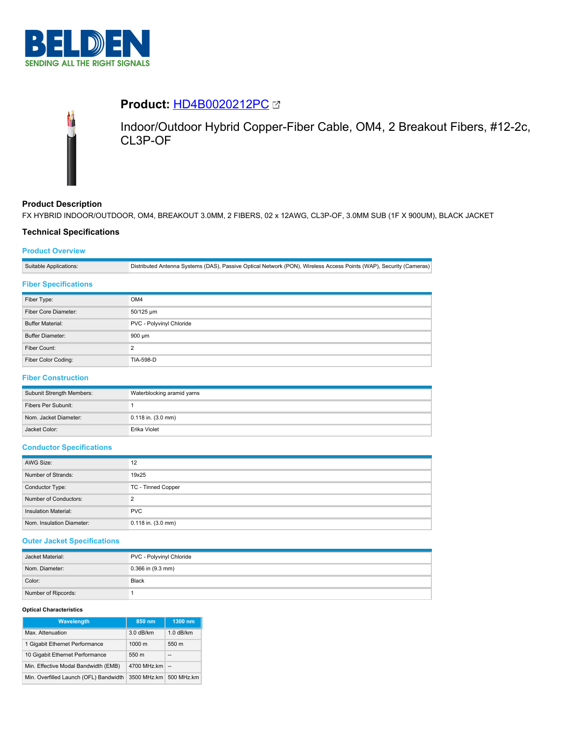

# **Product:** [HD4B0020212PC](https://catalog.belden.com/index.cfm?event=pd&p=PF_HD4B0020212PC&tab=downloads)



Indoor/Outdoor Hybrid Copper-Fiber Cable, OM4, 2 Breakout Fibers, #12-2c, CL3P-OF

# **Product Description**

FX HYBRID INDOOR/OUTDOOR, OM4, BREAKOUT 3.0MM, 2 FIBERS, 02 x 12AWG, CL3P-OF, 3.0MM SUB (1F X 900UM), BLACK JACKET

## **Technical Specifications**

## **Product Overview**

Suitable Applications: Distributed Antenna Systems (DAS), Passive Optical Network (PON), Wireless Access Points (WAP), Security (Cameras)

### **Fiber Specifications**

| Fiber Type:             | OM4                      |
|-------------------------|--------------------------|
| Fiber Core Diameter:    | 50/125 um                |
| <b>Buffer Material:</b> | PVC - Polyvinyl Chloride |
| <b>Buffer Diameter:</b> | 900 um                   |
| Fiber Count:            | ◠                        |
| Fiber Color Coding:     | <b>TIA-598-D</b>         |

# **Fiber Construction**

| Subunit Strength Members: | Waterblocking aramid yarns |
|---------------------------|----------------------------|
| Fibers Per Subunit:       |                            |
| Nom. Jacket Diameter:     | $0.118$ in. $(3.0$ mm)     |
| Jacket Color:             | Erika Violet               |

### **Conductor Specifications**

| AWG Size:                 | 12                     |
|---------------------------|------------------------|
| Number of Strands:        | 19x25                  |
| Conductor Type:           | TC - Tinned Copper     |
| Number of Conductors:     | ◠                      |
| Insulation Material:      | <b>PVC</b>             |
| Nom. Insulation Diameter: | $0.118$ in. $(3.0$ mm) |

#### **Outer Jacket Specifications**

| Jacket Material:    | PVC - Polyvinyl Chloride |
|---------------------|--------------------------|
| Nom. Diameter:      | $0.366$ in $(9.3$ mm)    |
| Color:              | Black                    |
| Number of Ripcords: |                          |

#### **Optical Characteristics**

| <b>Wavelength</b>                      | 850 nm           | 1300 nm     |
|----------------------------------------|------------------|-------------|
| Max. Attenuation                       | 3.0 dB/km        | $1.0$ dB/km |
| 1 Gigabit Ethernet Performance         | $1000 \text{ m}$ | 550 m       |
| 10 Gigabit Ethernet Performance        | 550 m            | --          |
| Min. Effective Modal Bandwidth (EMB)   | 4700 MHz.km      | $\sim$      |
| Min. Overfilled Launch (OFL) Bandwidth | 3500 MHz.km      | 500 MHz.km  |